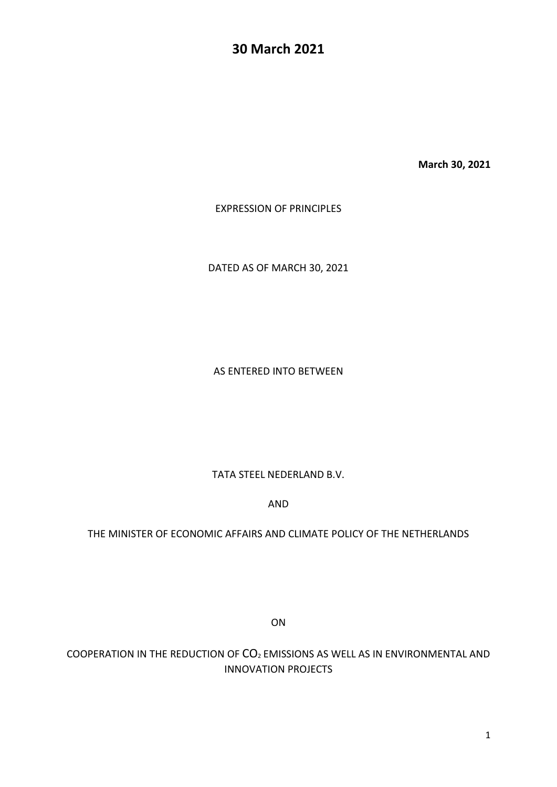# **30 March 2021**

**March 30, 2021**

EXPRESSION OF PRINCIPLES

DATED AS OF MARCH 30, 2021

AS ENTERED INTO BETWEEN

TATA STEEL NEDERLAND B.V.

AND

#### THE MINISTER OF ECONOMIC AFFAIRS AND CLIMATE POLICY OF THE NETHERLANDS

ON

COOPERATION IN THE REDUCTION OF CO<sup>2</sup> EMISSIONS AS WELL AS IN ENVIRONMENTAL AND INNOVATION PROJECTS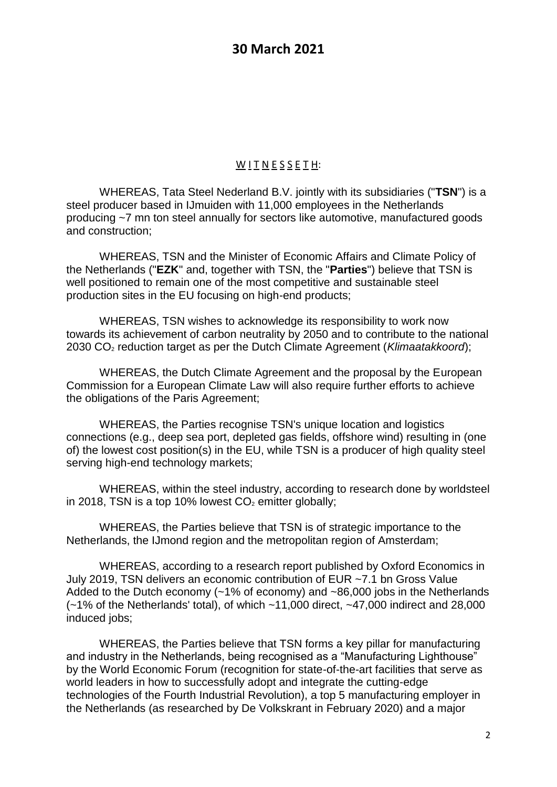## $W$  <u>I</u> T N E S S E T H:

WHEREAS, Tata Steel Nederland B.V. jointly with its subsidiaries ("**TSN**") is a steel producer based in IJmuiden with 11,000 employees in the Netherlands producing ~7 mn ton steel annually for sectors like automotive, manufactured goods and construction;

WHEREAS, TSN and the Minister of Economic Affairs and Climate Policy of the Netherlands ("**EZK**" and, together with TSN, the "**Parties**") believe that TSN is well positioned to remain one of the most competitive and sustainable steel production sites in the EU focusing on high-end products;

WHEREAS, TSN wishes to acknowledge its responsibility to work now towards its achievement of carbon neutrality by 2050 and to contribute to the national 2030 CO<sup>2</sup> reduction target as per the Dutch Climate Agreement (*Klimaatakkoord*);

WHEREAS, the Dutch Climate Agreement and the proposal by the European Commission for a European Climate Law will also require further efforts to achieve the obligations of the Paris Agreement;

WHEREAS, the Parties recognise TSN's unique location and logistics connections (e.g., deep sea port, depleted gas fields, offshore wind) resulting in (one of) the lowest cost position(s) in the EU, while TSN is a producer of high quality steel serving high-end technology markets;

WHEREAS, within the steel industry, according to research done by worldsteel in 2018, TSN is a top 10% lowest  $CO<sub>2</sub>$  emitter globally;

WHEREAS, the Parties believe that TSN is of strategic importance to the Netherlands, the IJmond region and the metropolitan region of Amsterdam;

WHEREAS, according to a research report published by Oxford Economics in July 2019, TSN delivers an economic contribution of EUR ~7.1 bn Gross Value Added to the Dutch economy (~1% of economy) and ~86,000 jobs in the Netherlands  $(-1%$  of the Netherlands' total), of which  $\sim$ 11,000 direct,  $\sim$ 47,000 indirect and 28,000 induced jobs;

WHEREAS, the Parties believe that TSN forms a key pillar for manufacturing and industry in the Netherlands, being recognised as a "Manufacturing Lighthouse" by the World Economic Forum (recognition for state-of-the-art facilities that serve as world leaders in how to successfully adopt and integrate the cutting-edge technologies of the Fourth Industrial Revolution), a top 5 manufacturing employer in the Netherlands (as researched by De Volkskrant in February 2020) and a major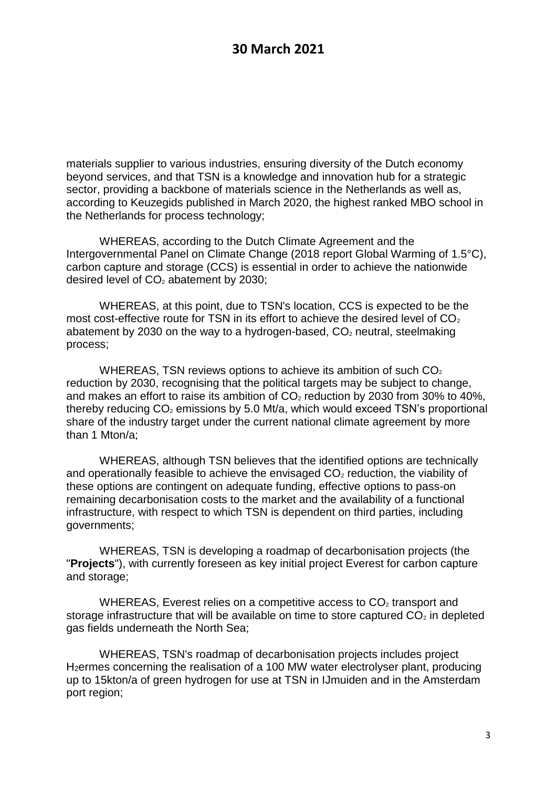materials supplier to various industries, ensuring diversity of the Dutch economy beyond services, and that TSN is a knowledge and innovation hub for a strategic sector, providing a backbone of materials science in the Netherlands as well as, according to Keuzegids published in March 2020, the highest ranked MBO school in the Netherlands for process technology;

WHEREAS, according to the Dutch Climate Agreement and the Intergovernmental Panel on Climate Change (2018 report Global Warming of 1.5°C), carbon capture and storage (CCS) is essential in order to achieve the nationwide desired level of  $CO<sub>2</sub>$  abatement by 2030;

WHEREAS, at this point, due to TSN's location, CCS is expected to be the most cost-effective route for TSN in its effort to achieve the desired level of  $CO<sub>2</sub>$ abatement by 2030 on the way to a hydrogen-based,  $CO<sub>2</sub>$  neutral, steelmaking process;

WHEREAS, TSN reviews options to achieve its ambition of such  $CO<sub>2</sub>$ reduction by 2030, recognising that the political targets may be subject to change, and makes an effort to raise its ambition of  $CO<sub>2</sub>$  reduction by 2030 from 30% to 40%, thereby reducing  $CO<sub>2</sub>$  emissions by 5.0 Mt/a, which would exceed TSN's proportional share of the industry target under the current national climate agreement by more than 1 Mton/a;

WHEREAS, although TSN believes that the identified options are technically and operationally feasible to achieve the envisaged  $CO<sub>2</sub>$  reduction, the viability of these options are contingent on adequate funding, effective options to pass-on remaining decarbonisation costs to the market and the availability of a functional infrastructure, with respect to which TSN is dependent on third parties, including governments;

WHEREAS, TSN is developing a roadmap of decarbonisation projects (the "**Projects**"), with currently foreseen as key initial project Everest for carbon capture and storage;

WHEREAS, Everest relies on a competitive access to  $CO<sub>2</sub>$  transport and storage infrastructure that will be available on time to store captured  $CO<sub>2</sub>$  in depleted gas fields underneath the North Sea;

WHEREAS, TSN's roadmap of decarbonisation projects includes project H2ermes concerning the realisation of a 100 MW water electrolyser plant, producing up to 15kton/a of green hydrogen for use at TSN in IJmuiden and in the Amsterdam port region;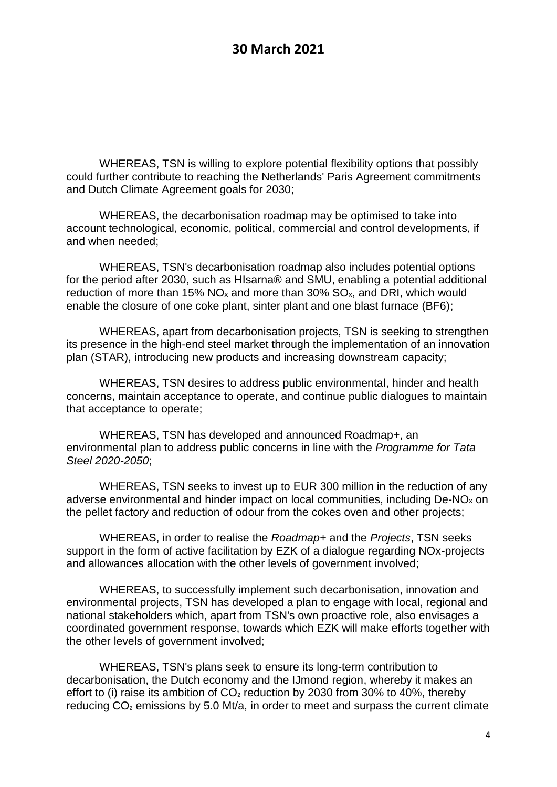WHEREAS, TSN is willing to explore potential flexibility options that possibly could further contribute to reaching the Netherlands' Paris Agreement commitments and Dutch Climate Agreement goals for 2030;

WHEREAS, the decarbonisation roadmap may be optimised to take into account technological, economic, political, commercial and control developments, if and when needed;

WHEREAS, TSN's decarbonisation roadmap also includes potential options for the period after 2030, such as HIsarna® and SMU, enabling a potential additional reduction of more than 15%  $NO_x$  and more than 30%  $SO_x$ , and DRI, which would enable the closure of one coke plant, sinter plant and one blast furnace (BF6);

WHEREAS, apart from decarbonisation projects, TSN is seeking to strengthen its presence in the high-end steel market through the implementation of an innovation plan (STAR), introducing new products and increasing downstream capacity;

WHEREAS, TSN desires to address public environmental, hinder and health concerns, maintain acceptance to operate, and continue public dialogues to maintain that acceptance to operate;

WHEREAS, TSN has developed and announced Roadmap+, an environmental plan to address public concerns in line with the *Programme for Tata Steel 2020-2050*;

WHEREAS, TSN seeks to invest up to EUR 300 million in the reduction of any adverse environmental and hinder impact on local communities, including  $De-NO<sub>x</sub>$  on the pellet factory and reduction of odour from the cokes oven and other projects;

WHEREAS, in order to realise the *Roadmap+* and the *Projects*, TSN seeks support in the form of active facilitation by EZK of a dialogue regarding NOx-projects and allowances allocation with the other levels of government involved;

WHEREAS, to successfully implement such decarbonisation, innovation and environmental projects, TSN has developed a plan to engage with local, regional and national stakeholders which, apart from TSN's own proactive role, also envisages a coordinated government response, towards which EZK will make efforts together with the other levels of government involved;

WHEREAS, TSN's plans seek to ensure its long-term contribution to decarbonisation, the Dutch economy and the IJmond region, whereby it makes an effort to (i) raise its ambition of  $CO<sub>2</sub>$  reduction by 2030 from 30% to 40%, thereby reducing  $CO<sub>2</sub>$  emissions by 5.0 Mt/a, in order to meet and surpass the current climate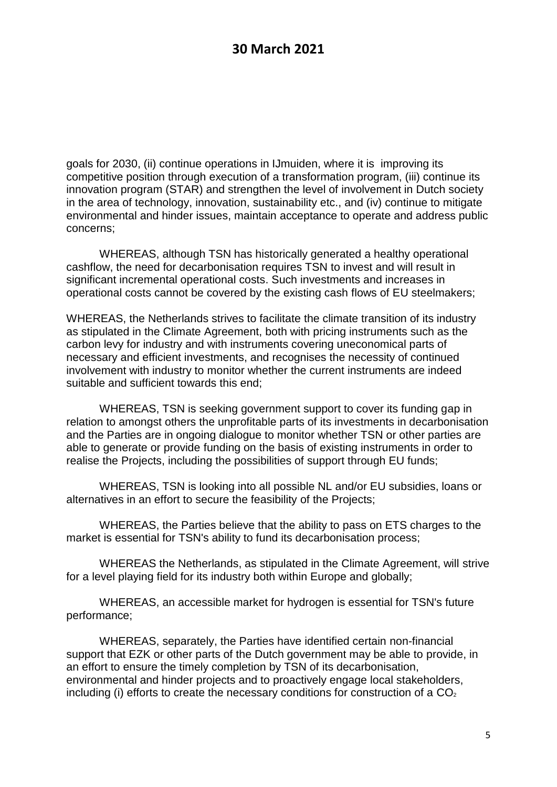goals for 2030, (ii) continue operations in IJmuiden, where it is improving its competitive position through execution of a transformation program, (iii) continue its innovation program (STAR) and strengthen the level of involvement in Dutch society in the area of technology, innovation, sustainability etc., and (iv) continue to mitigate environmental and hinder issues, maintain acceptance to operate and address public concerns;

WHEREAS, although TSN has historically generated a healthy operational cashflow, the need for decarbonisation requires TSN to invest and will result in significant incremental operational costs. Such investments and increases in operational costs cannot be covered by the existing cash flows of EU steelmakers;

WHEREAS, the Netherlands strives to facilitate the climate transition of its industry as stipulated in the Climate Agreement, both with pricing instruments such as the carbon levy for industry and with instruments covering uneconomical parts of necessary and efficient investments, and recognises the necessity of continued involvement with industry to monitor whether the current instruments are indeed suitable and sufficient towards this end;

WHEREAS, TSN is seeking government support to cover its funding gap in relation to amongst others the unprofitable parts of its investments in decarbonisation and the Parties are in ongoing dialogue to monitor whether TSN or other parties are able to generate or provide funding on the basis of existing instruments in order to realise the Projects, including the possibilities of support through EU funds;

WHEREAS, TSN is looking into all possible NL and/or EU subsidies, loans or alternatives in an effort to secure the feasibility of the Projects;

WHEREAS, the Parties believe that the ability to pass on ETS charges to the market is essential for TSN's ability to fund its decarbonisation process;

WHEREAS the Netherlands, as stipulated in the Climate Agreement, will strive for a level playing field for its industry both within Europe and globally;

WHEREAS, an accessible market for hydrogen is essential for TSN's future performance;

WHEREAS, separately, the Parties have identified certain non-financial support that EZK or other parts of the Dutch government may be able to provide, in an effort to ensure the timely completion by TSN of its decarbonisation, environmental and hinder projects and to proactively engage local stakeholders, including (i) efforts to create the necessary conditions for construction of a  $CO<sub>2</sub>$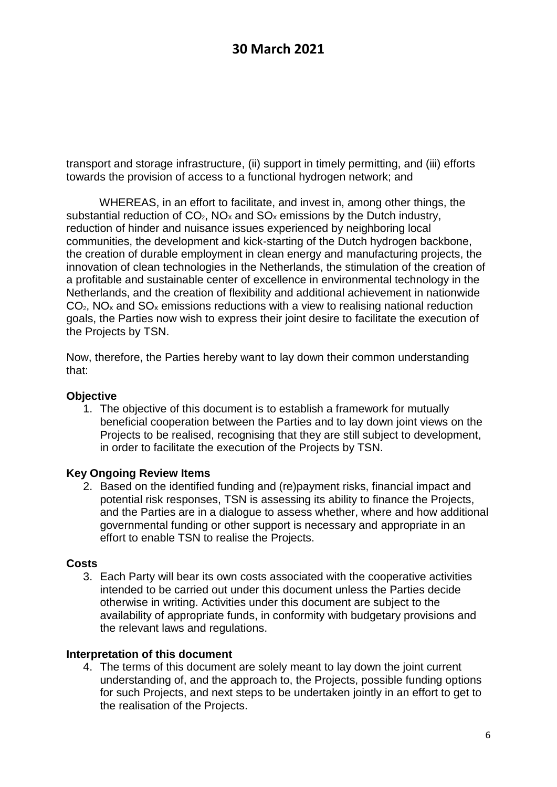transport and storage infrastructure, (ii) support in timely permitting, and (iii) efforts towards the provision of access to a functional hydrogen network; and

WHEREAS, in an effort to facilitate, and invest in, among other things, the substantial reduction of  $CO<sub>2</sub>$ , NO<sub>x</sub> and  $SO<sub>x</sub>$  emissions by the Dutch industry, reduction of hinder and nuisance issues experienced by neighboring local communities, the development and kick-starting of the Dutch hydrogen backbone, the creation of durable employment in clean energy and manufacturing projects, the innovation of clean technologies in the Netherlands, the stimulation of the creation of a profitable and sustainable center of excellence in environmental technology in the Netherlands, and the creation of flexibility and additional achievement in nationwide  $CO<sub>2</sub>$ , NO<sub>x</sub> and SO<sub>x</sub> emissions reductions with a view to realising national reduction goals, the Parties now wish to express their joint desire to facilitate the execution of the Projects by TSN.

Now, therefore, the Parties hereby want to lay down their common understanding that:

### **Objective**

1. The objective of this document is to establish a framework for mutually beneficial cooperation between the Parties and to lay down joint views on the Projects to be realised, recognising that they are still subject to development, in order to facilitate the execution of the Projects by TSN.

## **Key Ongoing Review Items**

2. Based on the identified funding and (re)payment risks, financial impact and potential risk responses, TSN is assessing its ability to finance the Projects, and the Parties are in a dialogue to assess whether, where and how additional governmental funding or other support is necessary and appropriate in an effort to enable TSN to realise the Projects.

#### **Costs**

3. Each Party will bear its own costs associated with the cooperative activities intended to be carried out under this document unless the Parties decide otherwise in writing. Activities under this document are subject to the availability of appropriate funds, in conformity with budgetary provisions and the relevant laws and regulations.

## **Interpretation of this document**

4. The terms of this document are solely meant to lay down the joint current understanding of, and the approach to, the Projects, possible funding options for such Projects, and next steps to be undertaken jointly in an effort to get to the realisation of the Projects.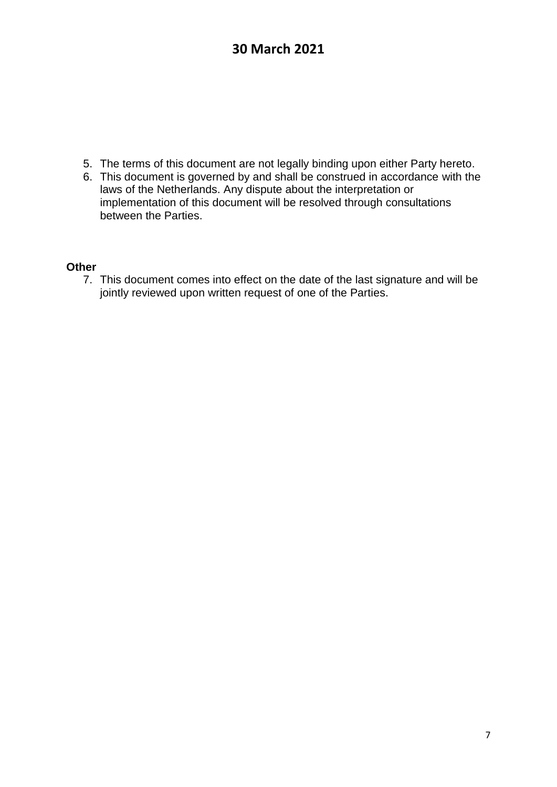- 5. The terms of this document are not legally binding upon either Party hereto.
- 6. This document is governed by and shall be construed in accordance with the laws of the Netherlands. Any dispute about the interpretation or implementation of this document will be resolved through consultations between the Parties.

#### **Other**

7. This document comes into effect on the date of the last signature and will be jointly reviewed upon written request of one of the Parties.